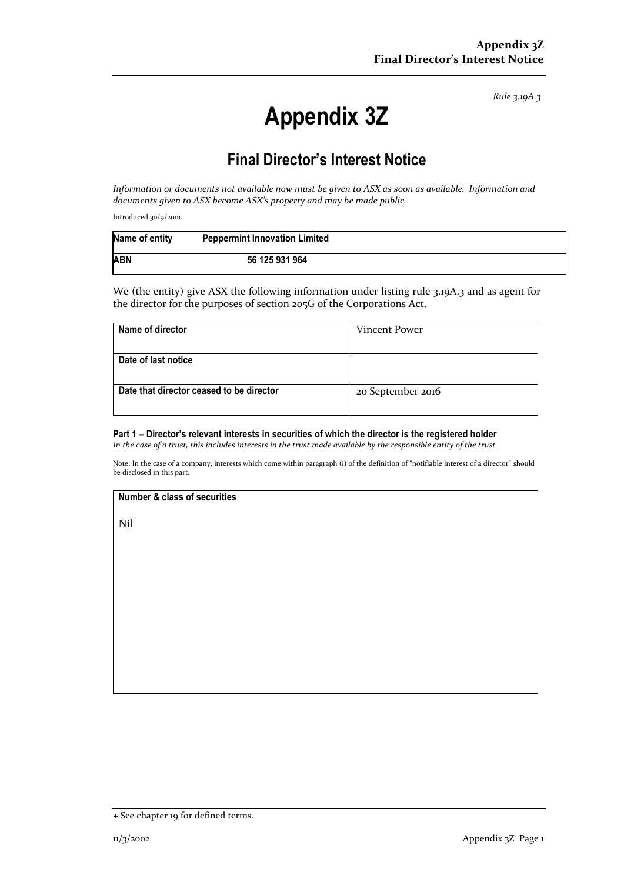*Rule 3.19A.3*

# **Appendix 3Z**

# **Final Director's Interest Notice**

*Information or documents not available now must be given to ASX as soon as available. Information and documents given to ASX become ASX's property and may be made public.*

Introduced 30/9/2001.

| Name of entity | <b>Peppermint Innovation Limited</b> |  |
|----------------|--------------------------------------|--|
| <b>ABN</b>     | 56 125 931 964                       |  |

We (the entity) give ASX the following information under listing rule 3.19A.3 and as agent for the director for the purposes of section 205G of the Corporations Act.

| Name of director                         | Vincent Power     |
|------------------------------------------|-------------------|
|                                          |                   |
| Date of last notice                      |                   |
|                                          |                   |
| Date that director ceased to be director | 20 September 2016 |
|                                          |                   |

## **Part 1 – Director's relevant interests in securities of which the director is the registered holder**

*In the case of a trust, this includes interests in the trust made available by the responsible entity of the trust*

Note: In the case of a company, interests which come within paragraph (i) of the definition of "notifiable interest of a director" should be disclosed in this part.

#### **Number & class of securities**

Nil

<sup>+</sup> See chapter 19 for defined terms.